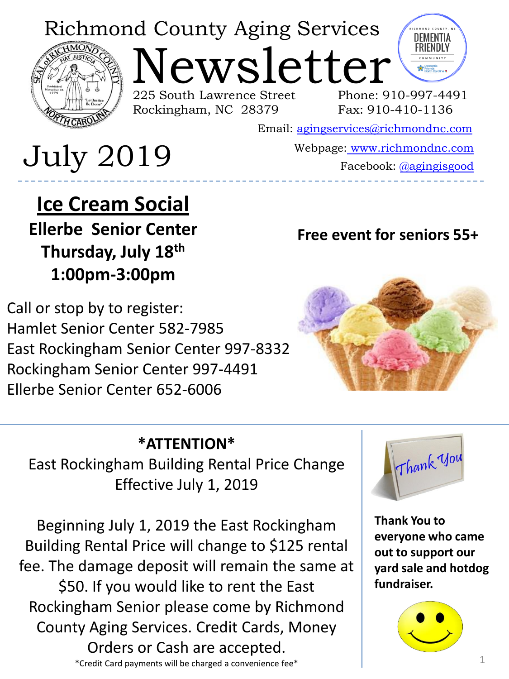## Richmond County Aging Services



Newsletter 225 South Lawrence Street Rockingham, NC 28379



Phone: 910-997-4491 Fax: 910-410-1136

Email: [agingservices@richmondnc.com](mailto:agingservices@richmondnc.com)

# Webpage: [www.richmondnc.com](http://www.richmondnc.com/) July 2019 Facebook: [@agingisgood](https://www.facebook.com/agingisgood/)

**Ice Cream Social Ellerbe Senior Center Thursday, July 18th 1:00pm-3:00pm**

Call or stop by to register: Hamlet Senior Center 582-7985 East Rockingham Senior Center 997-8332 Rockingham Senior Center 997-4491 Ellerbe Senior Center 652-6006

## **Free event for seniors 55+**



## **\*ATTENTION\***

East Rockingham Building Rental Price Change Effective July 1, 2019

Beginning July 1, 2019 the East Rockingham Building Rental Price will change to \$125 rental fee. The damage deposit will remain the same at \$50. If you would like to rent the East Rockingham Senior please come by Richmond County Aging Services. Credit Cards, Money Orders or Cash are accepted.





**Thank You to everyone who came out to support our yard sale and hotdog fundraiser.**

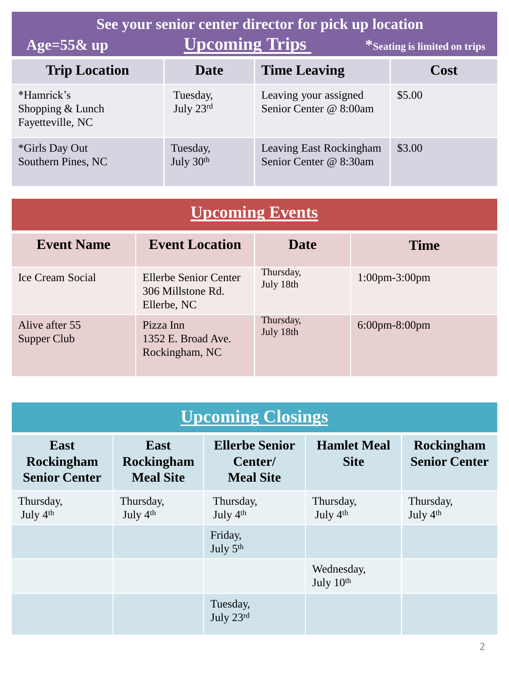| See your senior center director for pick up location |                                   |                                                   |        |  |  |  |  |
|------------------------------------------------------|-----------------------------------|---------------------------------------------------|--------|--|--|--|--|
| Age= $55\&$ up                                       | <b>Upcoming Trips</b>             | *Seating is limited on trips                      |        |  |  |  |  |
| <b>Trip Location</b>                                 | Date                              | <b>Time Leaving</b>                               | Cost   |  |  |  |  |
| *Hamrick's<br>Shopping & Lunch<br>Fayetteville, NC   | Tuesday,<br>July $23^{\text{rd}}$ | Leaving your assigned<br>Senior Center @ 8:00am   | \$5.00 |  |  |  |  |
| <i>*Girls Day Out</i><br>Southern Pines, NC          | Tuesday,<br>July 30th             | Leaving East Rockingham<br>Senior Center @ 8:30am | \$3.00 |  |  |  |  |

| <b>Upcoming Events</b> |  |
|------------------------|--|
|                        |  |

| <b>Event Name</b>             | <b>Event Location</b>                                     | <b>Date</b>            | <b>Time</b>                       |
|-------------------------------|-----------------------------------------------------------|------------------------|-----------------------------------|
| Ice Cream Social              | Ellerbe Senior Center<br>306 Millstone Rd.<br>Ellerbe, NC | Thursday,<br>July 18th | $1:00 \text{pm} - 3:00 \text{pm}$ |
| Alive after 55<br>Supper Club | Pizza Inn<br>1352 E. Broad Ave.<br>Rockingham, NC         | Thursday,<br>July 18th | $6:00 \text{pm} - 8:00 \text{pm}$ |

| <b>Upcoming Closings</b>                          |                                               |                                                      |                                   |                                           |  |  |  |
|---------------------------------------------------|-----------------------------------------------|------------------------------------------------------|-----------------------------------|-------------------------------------------|--|--|--|
| East<br><b>Rockingham</b><br><b>Senior Center</b> | <b>East</b><br>Rockingham<br><b>Meal Site</b> | <b>Ellerbe Senior</b><br>Center/<br><b>Meal Site</b> | <b>Hamlet Meal</b><br><b>Site</b> | <b>Rockingham</b><br><b>Senior Center</b> |  |  |  |
| Thursday,<br>July 4th                             | Thursday,<br>July 4 <sup>th</sup>             | Thursday,<br>July 4 <sup>th</sup>                    | Thursday,<br>July 4th             | Thursday,<br>July 4th                     |  |  |  |
|                                                   |                                               | Friday,<br>July 5th                                  |                                   |                                           |  |  |  |
|                                                   |                                               |                                                      | Wednesday,<br>July $10th$         |                                           |  |  |  |
|                                                   |                                               | Tuesday,<br>July 23rd                                |                                   |                                           |  |  |  |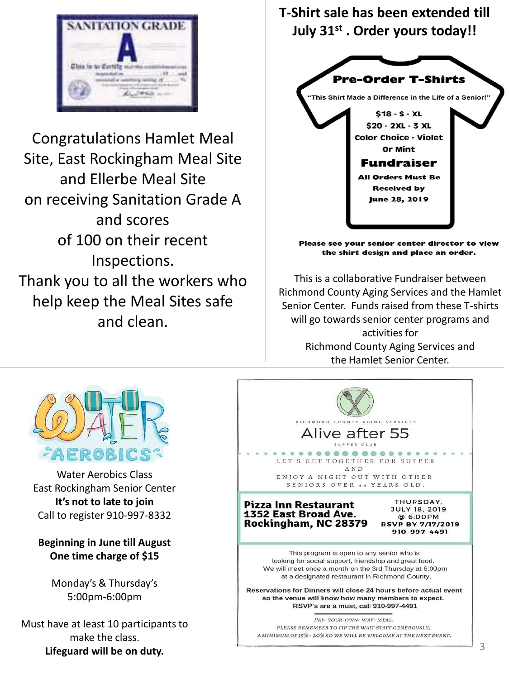

Congratulations Hamlet Meal Site, East Rockingham Meal Site and Ellerbe Meal Site on receiving Sanitation Grade A and scores of 100 on their recent Inspections. Thank you to all the workers who help keep the Meal Sites safe and clean.

#### **T-Shirt sale has been extended till July 31st . Order yours today!!**



Please see your senior center director to view the shirt design and place an order.

 This is a collaborative Fundraiser between Richmond County Aging Services and the Hamlet Senior Center. Funds raised from these T-shirts will go towards senior center programs and activities for Richmond County Aging Services and the Hamlet Senior Center.



Water Aerobics Class East Rockingham Senior Center **It's not to late to join**  Call to register 910-997-8332

**Beginning in June till August One time charge of \$15**

> Monday's & Thursday's 5:00pm-6:00pm

Must have at least 10 participants to make the class. **Lifeguard will be on duty.**